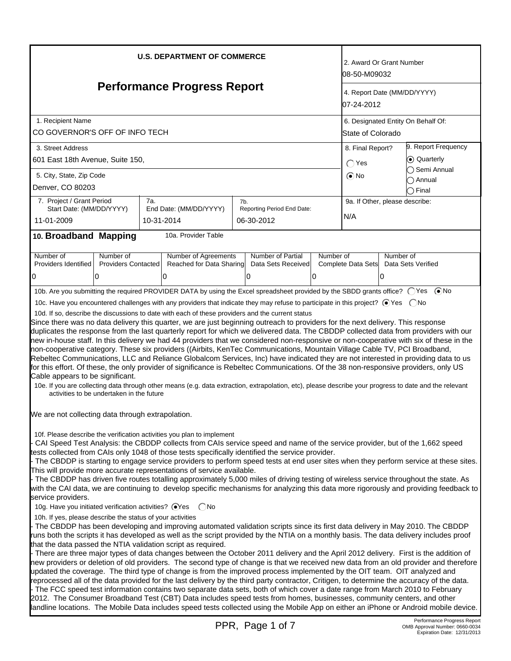| <b>U.S. DEPARTMENT OF COMMERCE</b>                                                                                                                                                                                                                                                                                                                                                                                                                                                                                                                                                                                                                                                                                                                                                                                                                                                                                                                                                                                                                                                                                                                                                                                                                                                                             | 2. Award Or Grant Number<br>08-50-M09032                                |  |  |  |  |  |
|----------------------------------------------------------------------------------------------------------------------------------------------------------------------------------------------------------------------------------------------------------------------------------------------------------------------------------------------------------------------------------------------------------------------------------------------------------------------------------------------------------------------------------------------------------------------------------------------------------------------------------------------------------------------------------------------------------------------------------------------------------------------------------------------------------------------------------------------------------------------------------------------------------------------------------------------------------------------------------------------------------------------------------------------------------------------------------------------------------------------------------------------------------------------------------------------------------------------------------------------------------------------------------------------------------------|-------------------------------------------------------------------------|--|--|--|--|--|
| <b>Performance Progress Report</b>                                                                                                                                                                                                                                                                                                                                                                                                                                                                                                                                                                                                                                                                                                                                                                                                                                                                                                                                                                                                                                                                                                                                                                                                                                                                             | 4. Report Date (MM/DD/YYYY)<br>07-24-2012                               |  |  |  |  |  |
| 1. Recipient Name<br>CO GOVERNOR'S OFF OF INFO TECH                                                                                                                                                                                                                                                                                                                                                                                                                                                                                                                                                                                                                                                                                                                                                                                                                                                                                                                                                                                                                                                                                                                                                                                                                                                            | 6. Designated Entity On Behalf Of:<br>State of Colorado                 |  |  |  |  |  |
| 3. Street Address<br>601 East 18th Avenue, Suite 150,                                                                                                                                                                                                                                                                                                                                                                                                                                                                                                                                                                                                                                                                                                                                                                                                                                                                                                                                                                                                                                                                                                                                                                                                                                                          | 9. Report Frequency<br>8. Final Report?<br>⊙ Quarterly<br>$\bigcap$ Yes |  |  |  |  |  |
| 5. City, State, Zip Code<br>Denver, CO 80203                                                                                                                                                                                                                                                                                                                                                                                                                                                                                                                                                                                                                                                                                                                                                                                                                                                                                                                                                                                                                                                                                                                                                                                                                                                                   | ◯ Semi Annual<br>$\odot$ No<br>$\bigcirc$ Annual<br>$\bigcirc$ Final    |  |  |  |  |  |
| 7. Project / Grant Period<br>7a.<br>7b.<br>Reporting Period End Date:<br>Start Date: (MM/DD/YYYY)<br>End Date: (MM/DD/YYYY)<br>11-01-2009<br>10-31-2014<br>06-30-2012                                                                                                                                                                                                                                                                                                                                                                                                                                                                                                                                                                                                                                                                                                                                                                                                                                                                                                                                                                                                                                                                                                                                          | 9a. If Other, please describe:<br>N/A                                   |  |  |  |  |  |
| 10. Broadband Mapping<br>10a. Provider Table                                                                                                                                                                                                                                                                                                                                                                                                                                                                                                                                                                                                                                                                                                                                                                                                                                                                                                                                                                                                                                                                                                                                                                                                                                                                   |                                                                         |  |  |  |  |  |
| Number of<br>Number of<br>Number of Agreements<br>Number of Partial<br>Number of<br>Providers Identified<br><b>Providers Contacted</b><br>Reached for Data Sharing<br>Data Sets Received<br>10<br>0<br>١O<br>0<br>0                                                                                                                                                                                                                                                                                                                                                                                                                                                                                                                                                                                                                                                                                                                                                                                                                                                                                                                                                                                                                                                                                            | Number of<br>Complete Data Sets<br>Data Sets Verified<br>0              |  |  |  |  |  |
| 10c. Have you encountered challenges with any providers that indicate they may refuse to participate in this project? ● Yes ● No<br>10d. If so, describe the discussions to date with each of these providers and the current status<br>Since there was no data delivery this quarter, we are just beginning outreach to providers for the next delivery. This response<br>duplicates the response from the last quarterly report for which we delivered data. The CBDDP collected data from providers with our<br>new in-house staff. In this delivery we had 44 providers that we considered non-responsive or non-cooperative with six of these in the<br>non-cooperative category. These six providers ((Airbits, KenTec Communications, Mountain Village Cable TV, PCI Broadband,<br>Rebeltec Communications, LLC and Reliance Globalcom Services, Inc) have indicated they are not interested in providing data to us<br>for this effort. Of these, the only provider of significance is Rebeltec Communications. Of the 38 non-responsive providers, only US<br>Cable appears to be significant.<br>10e. If you are collecting data through other means (e.g. data extraction, extrapolation, etc), please describe your progress to date and the relevant<br>activities to be undertaken in the future |                                                                         |  |  |  |  |  |
| We are not collecting data through extrapolation.<br>10f. Please describe the verification activities you plan to implement<br>CAI Speed Test Analysis: the CBDDP collects from CAIs service speed and name of the service provider, but of the 1,662 speed<br>tests collected from CAIs only 1048 of those tests specifically identified the service provider.<br>- The CBDDP is starting to engage service providers to perform speed tests at end user sites when they perform service at these sites.<br>This will provide more accurate representations of service available.<br>- The CBDDP has driven five routes totalling approximately 5,000 miles of driving testing of wireless service throughout the state. As<br>with the CAI data, we are continuing to develop specific mechanisms for analyzing this data more rigorously and providing feedback to<br>service providers.<br>10g. Have you initiated verification activities? ● Yes<br>( No<br>10h. If yes, please describe the status of your activities<br>The CBDDP has been developing and improving automated validation scripts since its first data delivery in May 2010. The CBDDP                                                                                                                                                   |                                                                         |  |  |  |  |  |
| runs both the scripts it has developed as well as the script provided by the NTIA on a monthly basis. The data delivery includes proof<br>that the data passed the NTIA validation script as required.<br>- There are three major types of data changes between the October 2011 delivery and the April 2012 delivery. First is the addition of<br>new providers or deletion of old providers. The second type of change is that we received new data from an old provider and therefore<br>updated the coverage. The third type of change is from the improved process implemented by the OIT team. OIT analyzed and<br>reprocessed all of the data provided for the last delivery by the third party contractor, Critigen, to determine the accuracy of the data.<br>- The FCC speed test information contains two separate data sets, both of which cover a date range from March 2010 to February<br>2012. The Consumer Broadband Test (CBT) Data includes speed tests from homes, businesses, community centers, and other<br>landline locations. The Mobile Data includes speed tests collected using the Mobile App on either an iPhone or Android mobile device.<br>Performance Progress Report<br>PPR, Page 1 of 7<br>OMB Approval Number: 0660-0034<br>Expiration Date: 12/31/2013                   |                                                                         |  |  |  |  |  |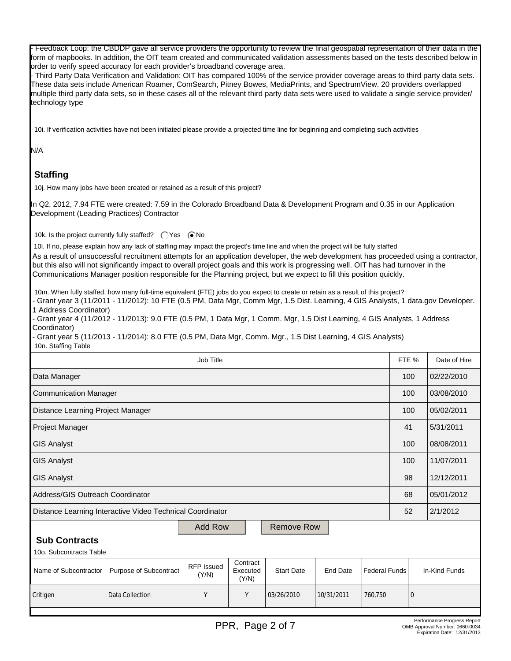- Feedback Loop: the CBDDP gave all service providers the opportunity to review the final geospatial representation of their data in the form of mapbooks. In addition, the OIT team created and communicated validation assessments based on the tests described below in order to verify speed accuracy for each provider's broadband coverage area.

- Third Party Data Verification and Validation: OIT has compared 100% of the service provider coverage areas to third party data sets. These data sets include American Roamer, ComSearch, Pitney Bowes, MediaPrints, and SpectrumView. 20 providers overlapped multiple third party data sets, so in these cases all of the relevant third party data sets were used to validate a single service provider/ technology type

10i. If verification activities have not been initiated please provide a projected time line for beginning and completing such activities

N/A

# **Staffing**

10j. How many jobs have been created or retained as a result of this project?

In Q2, 2012, 7.94 FTE were created: 7.59 in the Colorado Broadband Data & Development Program and 0.35 in our Application Development (Leading Practices) Contractor

10k. Is the project currently fully staffed?  $\bigcap$  Yes  $\bigcirc$  No

10l. If no, please explain how any lack of staffing may impact the project's time line and when the project will be fully staffed As a result of unsuccessful recruitment attempts for an application developer, the web development has proceeded using a contractor, but this also will not significantly impact to overall project goals and this work is progressing well. OIT has had turnover in the Communications Manager position responsible for the Planning project, but we expect to fill this position quickly.

10m. When fully staffed, how many full-time equivalent (FTE) jobs do you expect to create or retain as a result of this project?

- Grant year 3 (11/2011 - 11/2012): 10 FTE (0.5 PM, Data Mgr, Comm Mgr, 1.5 Dist. Learning, 4 GIS Analysts, 1 data.gov Developer. 1 Address Coordinator)

- Grant year 4 (11/2012 - 11/2013): 9.0 FTE (0.5 PM, 1 Data Mgr, 1 Comm. Mgr, 1.5 Dist Learning, 4 GIS Analysts, 1 Address Coordinator)

- Grant year 5 (11/2013 - 11/2014): 8.0 FTE (0.5 PM, Data Mgr, Comm. Mgr., 1.5 Dist Learning, 4 GIS Analysts) 10n. Staffing Table

| Job Title                                                 |                        |                            |                               |                   |            | FTE %                | Date of Hire |               |
|-----------------------------------------------------------|------------------------|----------------------------|-------------------------------|-------------------|------------|----------------------|--------------|---------------|
| Data Manager                                              |                        |                            |                               |                   |            | 100                  | 02/22/2010   |               |
| <b>Communication Manager</b>                              |                        |                            |                               |                   |            |                      | 100          | 03/08/2010    |
| Distance Learning Project Manager                         |                        |                            |                               |                   |            | 100                  | 05/02/2011   |               |
| Project Manager                                           |                        |                            |                               |                   |            | 41                   | 5/31/2011    |               |
| <b>GIS Analyst</b>                                        |                        |                            |                               |                   |            | 100                  | 08/08/2011   |               |
| <b>GIS Analyst</b>                                        |                        |                            |                               |                   |            | 100                  | 11/07/2011   |               |
| <b>GIS Analyst</b>                                        |                        |                            |                               |                   |            | 98                   | 12/12/2011   |               |
| Address/GIS Outreach Coordinator                          |                        |                            |                               |                   |            | 68                   | 05/01/2012   |               |
| Distance Learning Interactive Video Technical Coordinator |                        |                            |                               |                   |            | 52                   | 2/1/2012     |               |
| <b>Add Row</b><br><b>Remove Row</b>                       |                        |                            |                               |                   |            |                      |              |               |
| <b>Sub Contracts</b>                                      |                        |                            |                               |                   |            |                      |              |               |
| 10o. Subcontracts Table                                   |                        |                            |                               |                   |            |                      |              |               |
| Name of Subcontractor                                     | Purpose of Subcontract | <b>RFP Issued</b><br>(Y/N) | Contract<br>Executed<br>(Y/N) | <b>Start Date</b> | End Date   | <b>Federal Funds</b> |              | In-Kind Funds |
| Critigen                                                  | Data Collection        | Υ                          | Y                             | 03/26/2010        | 10/31/2011 | 760,750              | $\mathbf 0$  |               |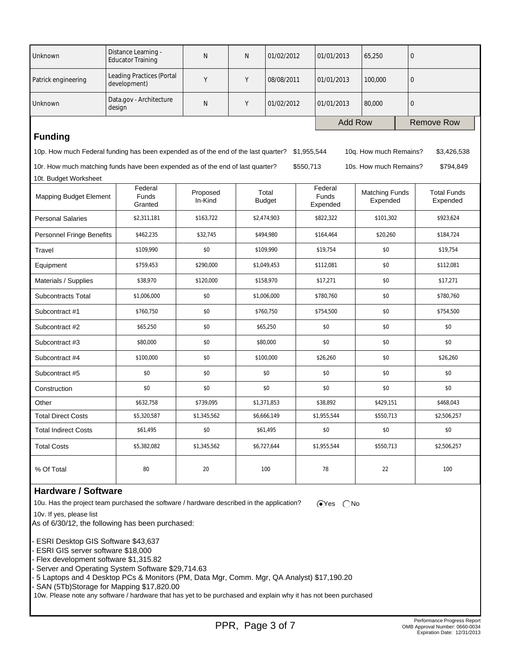| Unknown                          | Distance Learning -<br><b>Educator Training</b>                                                                                            | $\mathsf{N}$        | N | 01/02/2012             | 01/01/2013                   | 65,250                            | $\mathbf 0$                    |  |
|----------------------------------|--------------------------------------------------------------------------------------------------------------------------------------------|---------------------|---|------------------------|------------------------------|-----------------------------------|--------------------------------|--|
| Patrick engineering              | <b>Leading Practices (Portal</b><br>development)                                                                                           | Y                   | Y | 08/08/2011             | 01/01/2013                   | 100,000                           | $\mathbf 0$                    |  |
| Unknown                          | Data.gov - Architecture<br>design                                                                                                          | $\mathsf{N}$        | Υ | 01/02/2012             | 01/01/2013                   | 80,000                            | $\mathbf 0$                    |  |
|                                  |                                                                                                                                            |                     |   |                        |                              | <b>Add Row</b>                    | <b>Remove Row</b>              |  |
| <b>Funding</b>                   |                                                                                                                                            |                     |   |                        |                              |                                   |                                |  |
|                                  | 10p. How much Federal funding has been expended as of the end of the last quarter?<br>\$1,955,544<br>10q. How much Remains?<br>\$3,426,538 |                     |   |                        |                              |                                   |                                |  |
|                                  | 10r. How much matching funds have been expended as of the end of last quarter?                                                             |                     |   |                        | \$550,713                    | 10s. How much Remains?            | \$794,849                      |  |
| 10t. Budget Worksheet            |                                                                                                                                            |                     |   |                        |                              |                                   |                                |  |
| <b>Mapping Budget Element</b>    | Federal<br>Funds<br>Granted                                                                                                                | Proposed<br>In-Kind |   | Total<br><b>Budget</b> | Federal<br>Funds<br>Expended | <b>Matching Funds</b><br>Expended | <b>Total Funds</b><br>Expended |  |
| <b>Personal Salaries</b>         | \$2,311,181                                                                                                                                | \$163,722           |   | \$2,474,903            | \$822,322                    | \$101,302                         | \$923,624                      |  |
| <b>Personnel Fringe Benefits</b> | \$462,235                                                                                                                                  | \$32,745            |   | \$494,980              | \$164,464                    | \$20,260                          | \$184,724                      |  |
| Travel                           | \$109,990                                                                                                                                  | \$0                 |   | \$109,990              | \$19,754                     | \$0                               | \$19,754                       |  |
| Equipment                        | \$759,453                                                                                                                                  | \$290.000           |   | \$1,049,453            | \$112,081                    | \$0                               | \$112,081                      |  |
| Materials / Supplies             | \$38,970                                                                                                                                   | \$120,000           |   | \$158,970              | \$17,271                     | \$0                               | \$17,271                       |  |
| <b>Subcontracts Total</b>        | \$1,006,000                                                                                                                                | \$0                 |   | \$1,006,000            | \$780,760                    | \$0                               | \$780,760                      |  |
| Subcontract #1                   | \$760,750                                                                                                                                  | \$0                 |   | \$760,750              | \$754,500                    | \$0                               | \$754,500                      |  |
| Subcontract #2                   | \$65,250                                                                                                                                   | \$0                 |   | \$0<br>\$65,250        |                              | \$0                               | \$0                            |  |
| Subcontract #3                   | \$80,000                                                                                                                                   | \$0                 |   | \$80,000               | \$0                          | \$0                               | \$0                            |  |
| Subcontract #4                   | \$100,000                                                                                                                                  | \$0                 |   | \$100,000<br>\$26,260  |                              | \$0                               | \$26,260                       |  |
| Subcontract #5                   | \$0                                                                                                                                        | \$0                 |   | \$0                    | \$0                          | \$0                               | \$0                            |  |
| Construction                     | \$0                                                                                                                                        | \$0                 |   | \$0                    | \$0                          | \$0                               | \$0                            |  |
| Other                            | \$632,758                                                                                                                                  | \$739,095           |   | \$1,371,853            | \$38,892                     | \$429,151                         | \$468,043                      |  |
| <b>Total Direct Costs</b>        | \$5,320,587                                                                                                                                | \$1,345,562         |   | \$6,666,149            | \$1,955,544                  | \$550,713                         | \$2,506,257                    |  |
| <b>Total Indirect Costs</b>      | \$61,495                                                                                                                                   | \$0                 |   | \$61,495               | \$0                          | \$0                               | \$0                            |  |
| <b>Total Costs</b>               | \$5,382,082                                                                                                                                | \$1,345,562         |   | \$6,727,644            | \$1,955,544                  | \$550,713                         | \$2,506,257                    |  |
| % Of Total                       | 80                                                                                                                                         | 20                  |   | 100                    | 78                           | 22                                | 100                            |  |

### **Hardware / Software**

10u. Has the project team purchased the software / hardware described in the application?  $\bigcirc$ Yes  $\bigcirc$ No

 10v. If yes, please list As of 6/30/12, the following has been purchased:

- ESRI Desktop GIS Software \$43,637

- ESRI GIS server software \$18,000

- Flex development software \$1,315.82

- Server and Operating System Software \$29,714.63

- 5 Laptops and 4 Desktop PCs & Monitors (PM, Data Mgr, Comm. Mgr, QA Analyst) \$17,190.20

- SAN (5Tb)Storage for Mapping \$17,820.00

10w. Please note any software / hardware that has yet to be purchased and explain why it has not been purchased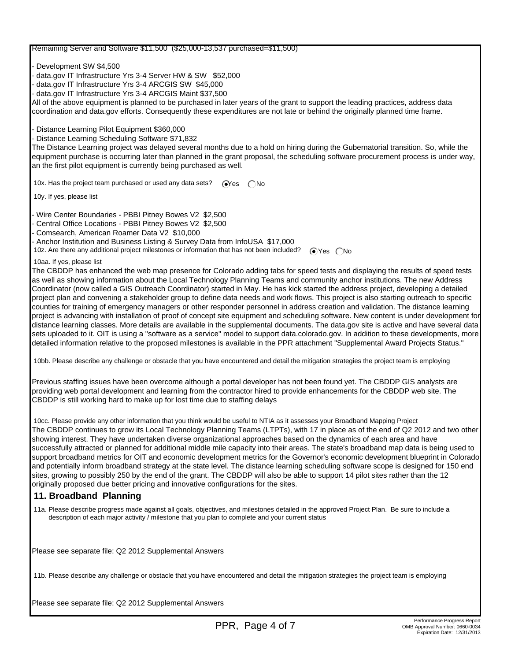#### Remaining Server and Software \$11,500 (\$25,000-13,537 purchased=\$11,500)

- Development SW \$4,500

- data.gov IT Infrastructure Yrs 3-4 Server HW & SW \$52,000
- data.gov IT Infrastructure Yrs 3-4 ARCGIS SW \$45,000
- data.gov IT Infrastructure Yrs 3-4 ARCGIS Maint \$37,500

All of the above equipment is planned to be purchased in later years of the grant to support the leading practices, address data coordination and data.gov efforts. Consequently these expenditures are not late or behind the originally planned time frame.

- Distance Learning Pilot Equipment \$360,000

- Distance Learning Scheduling Software \$71,832

The Distance Learning project was delayed several months due to a hold on hiring during the Gubernatorial transition. So, while the equipment purchase is occurring later than planned in the grant proposal, the scheduling software procurement process is under way, an the first pilot equipment is currently being purchased as well.

10x. Has the project team purchased or used any data sets?  $\bigcirc$ Yes  $\bigcirc$ No

10y. If yes, please list

- Wire Center Boundaries - PBBI Pitney Bowes V2 \$2,500

- Central Office Locations - PBBI Pitney Bowes V2 \$2,500

- Comsearch, American Roamer Data V2 \$10,000

- Anchor Institution and Business Listing & Survey Data from InfoUSA \$17,000

10z. Are there any additional project milestones or information that has not been included? <br>
The Yes  $\bigcap$ No

10aa. If yes, please list

The CBDDP has enhanced the web map presence for Colorado adding tabs for speed tests and displaying the results of speed tests as well as showing information about the Local Technology Planning Teams and community anchor institutions. The new Address Coordinator (now called a GIS Outreach Coordinator) started in May. He has kick started the address project, developing a detailed project plan and convening a stakeholder group to define data needs and work flows. This project is also starting outreach to specific counties for training of emergency managers or other responder personnel in address creation and validation. The distance learning project is advancing with installation of proof of concept site equipment and scheduling software. New content is under development for distance learning classes. More details are available in the supplemental documents. The data.gov site is active and have several data sets uploaded to it. OIT is using a "software as a service" model to support data.colorado.gov. In addition to these developments, more detailed information relative to the proposed milestones is available in the PPR attachment "Supplemental Award Projects Status."

10bb. Please describe any challenge or obstacle that you have encountered and detail the mitigation strategies the project team is employing

Previous staffing issues have been overcome although a portal developer has not been found yet. The CBDDP GIS analysts are providing web portal development and learning from the contractor hired to provide enhancements for the CBDDP web site. The CBDDP is still working hard to make up for lost time due to staffing delays

 10cc. Please provide any other information that you think would be useful to NTIA as it assesses your Broadband Mapping Project The CBDDP continues to grow its Local Technology Planning Teams (LTPTs), with 17 in place as of the end of Q2 2012 and two other showing interest. They have undertaken diverse organizational approaches based on the dynamics of each area and have successfully attracted or planned for additional middle mile capacity into their areas. The state's broadband map data is being used to support broadband metrics for OIT and economic development metrics for the Governor's economic development blueprint in Colorado and potentially inform broadband strategy at the state level. The distance learning scheduling software scope is designed for 150 end sites, growing to possibly 250 by the end of the grant. The CBDDP will also be able to support 14 pilot sites rather than the 12 originally proposed due better pricing and innovative configurations for the sites.

### **11. Broadband Planning**

 11a. Please describe progress made against all goals, objectives, and milestones detailed in the approved Project Plan. Be sure to include a description of each major activity / milestone that you plan to complete and your current status

Please see separate file: Q2 2012 Supplemental Answers

11b. Please describe any challenge or obstacle that you have encountered and detail the mitigation strategies the project team is employing

Please see separate file: Q2 2012 Supplemental Answers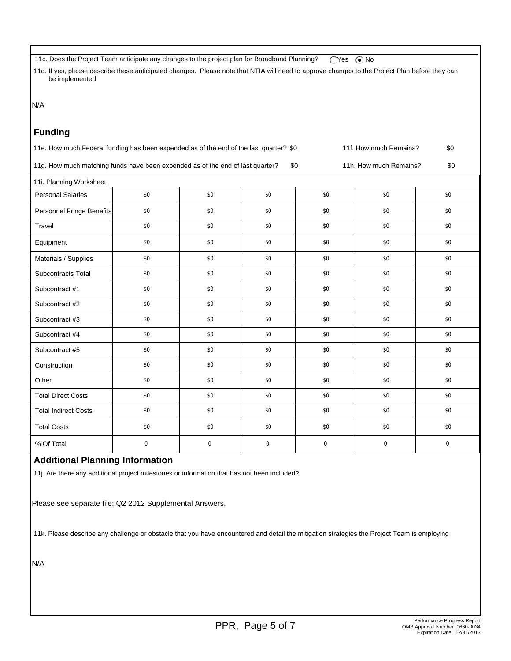11c. Does the Project Team anticipate any changes to the project plan for Broadband Planning?  $\bigcirc$ Yes  $\bigcirc$ No

 11d. If yes, please describe these anticipated changes. Please note that NTIA will need to approve changes to the Project Plan before they can be implemented

N/A

### **Funding**

| 11e. How much Federal funding has been expended as of the end of the last quarter? \$0 | 11f. How much Remains?<br>\$0 |     |                        |           |           |             |  |  |
|----------------------------------------------------------------------------------------|-------------------------------|-----|------------------------|-----------|-----------|-------------|--|--|
| 11g. How much matching funds have been expended as of the end of last quarter?         |                               | \$0 | 11h. How much Remains? |           |           |             |  |  |
| 11i. Planning Worksheet                                                                |                               |     |                        |           |           |             |  |  |
| <b>Personal Salaries</b>                                                               | \$0                           | \$0 | \$0                    | \$0       | \$0       | \$0         |  |  |
| Personnel Fringe Benefits                                                              | \$0                           | \$0 | \$0                    | \$0       | \$0       | \$0         |  |  |
| Travel                                                                                 | \$0                           | \$0 | \$0                    | \$0       | \$0       | \$0         |  |  |
| Equipment                                                                              | \$0                           | \$0 | \$0                    | \$0       | \$0       | \$0         |  |  |
| Materials / Supplies                                                                   | \$0                           | \$0 | \$0                    | \$0       | \$0       | \$0         |  |  |
| Subcontracts Total                                                                     | \$0                           | \$0 | \$0                    | \$0       | \$0       | \$0         |  |  |
| Subcontract #1                                                                         | \$0                           | \$0 | \$0                    | \$0       | \$0       | \$0         |  |  |
| Subcontract #2                                                                         | \$0                           | \$0 | \$0                    | \$0       | \$0       | \$0         |  |  |
| Subcontract #3                                                                         | \$0                           | \$0 | \$0                    | \$0       | \$0       | \$0         |  |  |
| Subcontract #4                                                                         | \$0                           | \$0 | \$0                    | \$0       | \$0       | \$0         |  |  |
| Subcontract #5                                                                         | \$0                           | \$0 | \$0                    | \$0       | \$0       | \$0         |  |  |
| Construction                                                                           | \$0                           | \$0 | \$0                    | \$0       | \$0       | \$0         |  |  |
| Other                                                                                  | \$0                           | \$0 | \$0                    | \$0       | \$0       | \$0         |  |  |
| <b>Total Direct Costs</b>                                                              | \$0                           | \$0 | \$0                    | \$0       | \$0       | \$0         |  |  |
| <b>Total Indirect Costs</b>                                                            | \$0                           | \$0 | \$0                    | \$0       | \$0       | \$0         |  |  |
| <b>Total Costs</b>                                                                     | \$0                           | \$0 | \$0                    | \$0       | \$0       | \$0         |  |  |
| % Of Total                                                                             | $\mathbf 0$                   | 0   | $\mathbf 0$            | $\pmb{0}$ | $\pmb{0}$ | $\mathsf 0$ |  |  |

## **Additional Planning Information**

11j. Are there any additional project milestones or information that has not been included?

Please see separate file: Q2 2012 Supplemental Answers.

11k. Please describe any challenge or obstacle that you have encountered and detail the mitigation strategies the Project Team is employing

N/A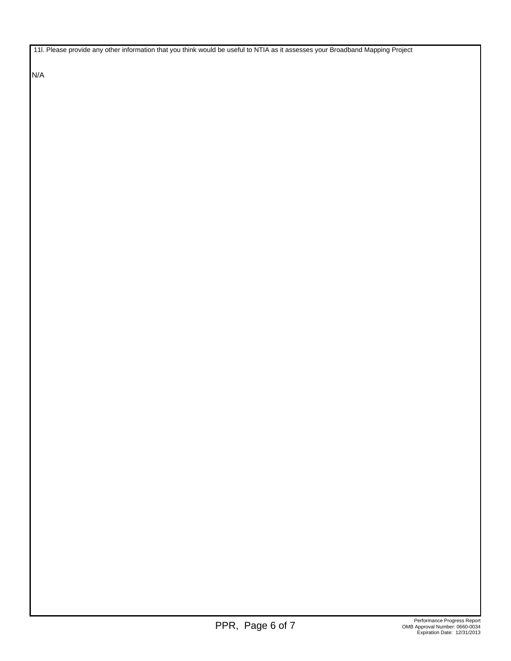11l. Please provide any other information that you think would be useful to NTIA as it assesses your Broadband Mapping Project

N/A